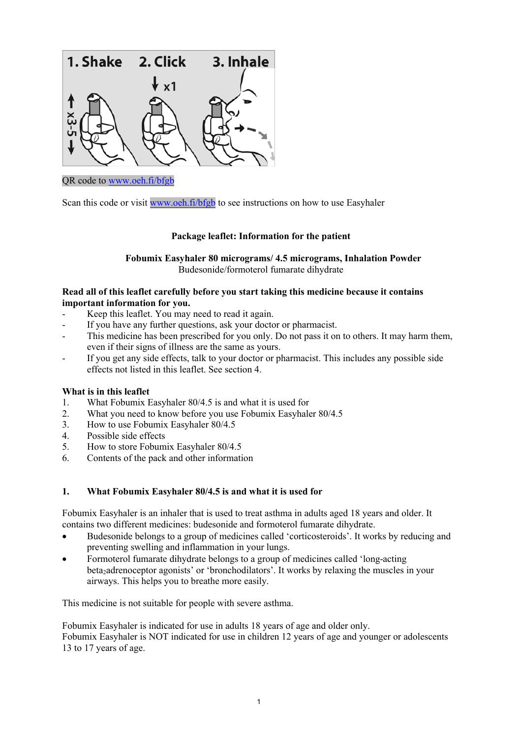

#### QR code to [www.oeh.fi/bfgb](http://www.oeh.fi/bfgb)

Scan this code or visit [www.oeh.fi/bfgb](http://www.oeh.fi/bfgb) to see instructions on how to use Easyhaler

#### **Package leaflet: Information for the patient**

**Fobumix Easyhaler 80 micrograms/ 4.5 micrograms, Inhalation Powder** Budesonide/formoterol fumarate dihydrate

#### **Read all of this leaflet carefully before you start taking this medicine because it contains important information for you.**

- Keep this leaflet. You may need to read it again.
- If you have any further questions, ask your doctor or pharmacist.
- This medicine has been prescribed for you only. Do not pass it on to others. It may harm them, even if their signs of illness are the same as yours.
- If you get any side effects, talk to your doctor or pharmacist. This includes any possible side effects not listed in this leaflet. See section 4.

#### **What is in this leaflet**

- 1. What Fobumix Easyhaler 80/4.5 is and what it is used for
- 2. What you need to know before you use Fobumix Easyhaler 80/4.5
- 3. How to use Fobumix Easyhaler 80/4.5
- 4. Possible side effects
- 5. How to store Fobumix Easyhaler 80/4.5
- 6. Contents of the pack and other information

#### **1. What Fobumix Easyhaler 80/4.5 is and what it is used for**

Fobumix Easyhaler is an inhaler that is used to treat asthma in adults aged 18 years and older. It contains two different medicines: budesonide and formoterol fumarate dihydrate.

- Budesonide belongs to a group of medicines called 'corticosteroids'. It works by reducing and preventing swelling and inflammation in your lungs.
- Formoterol fumarate dihydrate belongs to a group of medicines called 'long-acting beta<sub>2</sub>adrenoceptor agonists' or 'bronchodilators'. It works by relaxing the muscles in your airways. This helps you to breathe more easily.

This medicine is not suitable for people with severe asthma.

Fobumix Easyhaler is indicated for use in adults 18 years of age and older only. Fobumix Easyhaler is NOT indicated for use in children 12 years of age and younger or adolescents 13 to 17 years of age.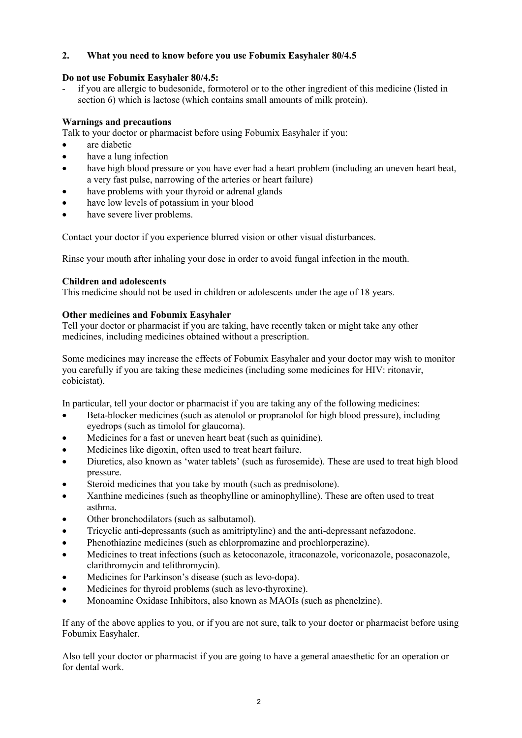## **2. What you need to know before you use Fobumix Easyhaler 80/4.5**

## **Do not use Fobumix Easyhaler 80/4.5:**

if you are allergic to budesonide, formoterol or to the other ingredient of this medicine (listed in section 6) which is lactose (which contains small amounts of milk protein).

## **Warnings and precautions**

Talk to your doctor or pharmacist before using Fobumix Easyhaler if you:

- are diabetic
- have a lung infection
- have high blood pressure or you have ever had a heart problem (including an uneven heart beat, a very fast pulse, narrowing of the arteries or heart failure)
- have problems with your thyroid or adrenal glands
- have low levels of potassium in your blood
- have severe liver problems.

Contact your doctor if you experience blurred vision or other visual disturbances.

Rinse your mouth after inhaling your dose in order to avoid fungal infection in the mouth.

#### **Children and adolescents**

This medicine should not be used in children or adolescents under the age of 18 years.

#### **Other medicines and Fobumix Easyhaler**

Tell your doctor or pharmacist if you are taking, have recently taken or might take any other medicines, including medicines obtained without a prescription.

Some medicines may increase the effects of Fobumix Easyhaler and your doctor may wish to monitor you carefully if you are taking these medicines (including some medicines for HIV: ritonavir, cobicistat).

In particular, tell your doctor or pharmacist if you are taking any of the following medicines:

- Beta-blocker medicines (such as atenolol or propranolol for high blood pressure), including eyedrops (such as timolol for glaucoma).
- Medicines for a fast or uneven heart beat (such as quinidine).
- Medicines like digoxin, often used to treat heart failure.
- Diuretics, also known as 'water tablets' (such as furosemide). These are used to treat high blood pressure.
- Steroid medicines that you take by mouth (such as prednisolone).
- Xanthine medicines (such as theophylline or aminophylline). These are often used to treat asthma.
- Other bronchodilators (such as salbutamol).
- Tricyclic anti-depressants (such as amitriptyline) and the anti-depressant nefazodone.
- Phenothiazine medicines (such as chlorpromazine and prochlorperazine).
- Medicines to treat infections (such as ketoconazole, itraconazole, voriconazole, posaconazole, clarithromycin and telithromycin).
- Medicines for Parkinson's disease (such as levo-dopa).
- Medicines for thyroid problems (such as levo-thyroxine).
- Monoamine Oxidase Inhibitors, also known as MAOIs (such as phenelzine).

If any of the above applies to you, or if you are not sure, talk to your doctor or pharmacist before using Fobumix Easyhaler.

Also tell your doctor or pharmacist if you are going to have a general anaesthetic for an operation or for dental work.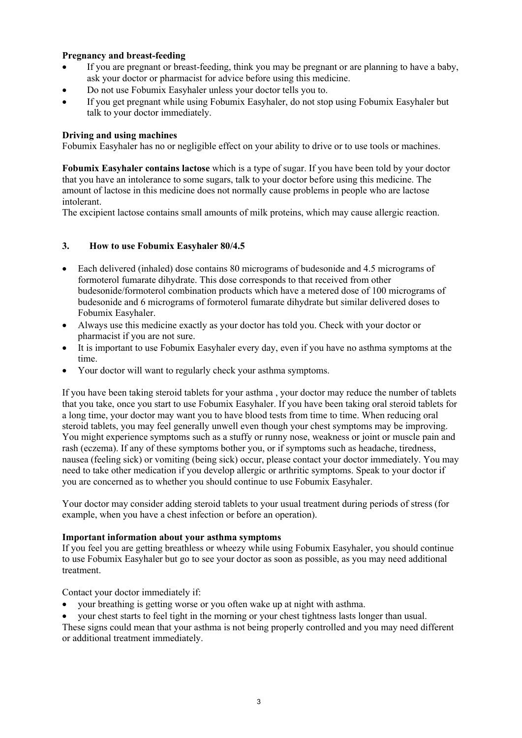## **Pregnancy and breast-feeding**

- If you are pregnant or breast-feeding, think you may be pregnant or are planning to have a baby, ask your doctor or pharmacist for advice before using this medicine.
- Do not use Fobumix Easyhaler unless your doctor tells you to.
- If you get pregnant while using Fobumix Easyhaler, do not stop using Fobumix Easyhaler but talk to your doctor immediately.

#### **Driving and using machines**

Fobumix Easyhaler has no or negligible effect on your ability to drive or to use tools or machines.

**Fobumix Easyhaler contains lactose** which is a type of sugar. If you have been told by your doctor that you have an intolerance to some sugars, talk to your doctor before using this medicine. The amount of lactose in this medicine does not normally cause problems in people who are lactose intolerant.

The excipient lactose contains small amounts of milk proteins, which may cause allergic reaction.

## **3. How to use Fobumix Easyhaler 80/4.5**

- Each delivered (inhaled) dose contains 80 micrograms of budesonide and 4.5 micrograms of formoterol fumarate dihydrate. This dose corresponds to that received from other budesonide/formoterol combination products which have a metered dose of 100 micrograms of budesonide and 6 micrograms of formoterol fumarate dihydrate but similar delivered doses to Fobumix Easyhaler.
- Always use this medicine exactly as your doctor has told you. Check with your doctor or pharmacist if you are not sure.
- It is important to use Fobumix Easyhaler every day, even if you have no asthma symptoms at the time.
- Your doctor will want to regularly check your asthma symptoms.

If you have been taking steroid tablets for your asthma , your doctor may reduce the number of tablets that you take, once you start to use Fobumix Easyhaler. If you have been taking oral steroid tablets for a long time, your doctor may want you to have blood tests from time to time. When reducing oral steroid tablets, you may feel generally unwell even though your chest symptoms may be improving. You might experience symptoms such as a stuffy or runny nose, weakness or joint or muscle pain and rash (eczema). If any of these symptoms bother you, or if symptoms such as headache, tiredness, nausea (feeling sick) or vomiting (being sick) occur, please contact your doctor immediately. You may need to take other medication if you develop allergic or arthritic symptoms. Speak to your doctor if you are concerned as to whether you should continue to use Fobumix Easyhaler.

Your doctor may consider adding steroid tablets to your usual treatment during periods of stress (for example, when you have a chest infection or before an operation).

#### **Important information about your asthma symptoms**

If you feel you are getting breathless or wheezy while using Fobumix Easyhaler, you should continue to use Fobumix Easyhaler but go to see your doctor as soon as possible, as you may need additional treatment.

Contact your doctor immediately if:

- your breathing is getting worse or you often wake up at night with asthma.
- your chest starts to feel tight in the morning or your chest tightness lasts longer than usual.

These signs could mean that your asthma is not being properly controlled and you may need different or additional treatment immediately.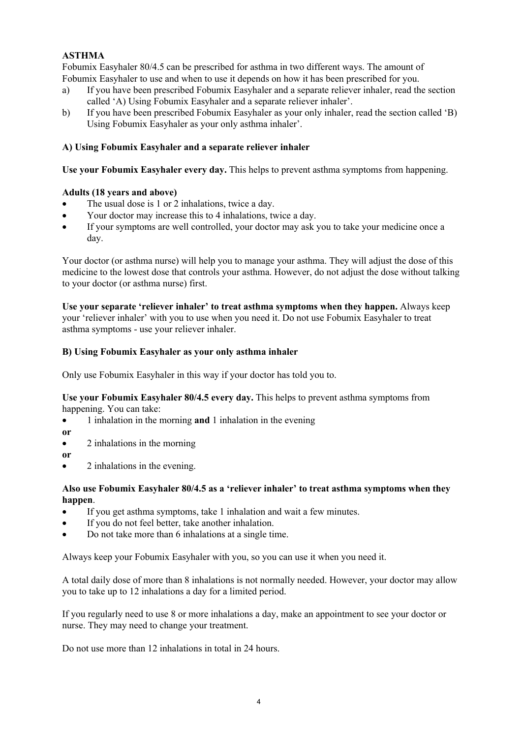## **ASTHMA**

Fobumix Easyhaler 80/4.5 can be prescribed for asthma in two different ways. The amount of Fobumix Easyhaler to use and when to use it depends on how it has been prescribed for you.

- a) If you have been prescribed Fobumix Easyhaler and a separate reliever inhaler, read the section called 'A) Using Fobumix Easyhaler and a separate reliever inhaler'.
- b) If you have been prescribed Fobumix Easyhaler as your only inhaler, read the section called 'B) Using Fobumix Easyhaler as your only asthma inhaler'.

#### **A) Using Fobumix Easyhaler and a separate reliever inhaler**

**Use your Fobumix Easyhaler every day.** This helps to prevent asthma symptoms from happening.

#### **Adults (18 years and above)**

- The usual dose is 1 or 2 inhalations, twice a day.
- Your doctor may increase this to 4 inhalations, twice a day.
- If your symptoms are well controlled, your doctor may ask you to take your medicine once a day.

Your doctor (or asthma nurse) will help you to manage your asthma. They will adjust the dose of this medicine to the lowest dose that controls your asthma. However, do not adjust the dose without talking to your doctor (or asthma nurse) first.

**Use your separate 'reliever inhaler' to treat asthma symptoms when they happen.** Always keep your 'reliever inhaler' with you to use when you need it. Do not use Fobumix Easyhaler to treat asthma symptoms - use your reliever inhaler.

#### **B) Using Fobumix Easyhaler as your only asthma inhaler**

Only use Fobumix Easyhaler in this way if your doctor has told you to.

**Use your Fobumix Easyhaler 80/4.5 every day.** This helps to prevent asthma symptoms from happening. You can take:

1 inhalation in the morning **and** 1 inhalation in the evening

**or**

• 2 inhalations in the morning

**or**

2 inhalations in the evening.

#### **Also use Fobumix Easyhaler 80/4.5 as a 'reliever inhaler' to treat asthma symptoms when they happen**.

- If you get asthma symptoms, take 1 inhalation and wait a few minutes.
- If you do not feel better, take another inhalation.
- Do not take more than 6 inhalations at a single time.

Always keep your Fobumix Easyhaler with you, so you can use it when you need it.

A total daily dose of more than 8 inhalations is not normally needed. However, your doctor may allow you to take up to 12 inhalations a day for a limited period.

If you regularly need to use 8 or more inhalations a day, make an appointment to see your doctor or nurse. They may need to change your treatment.

Do not use more than 12 inhalations in total in 24 hours.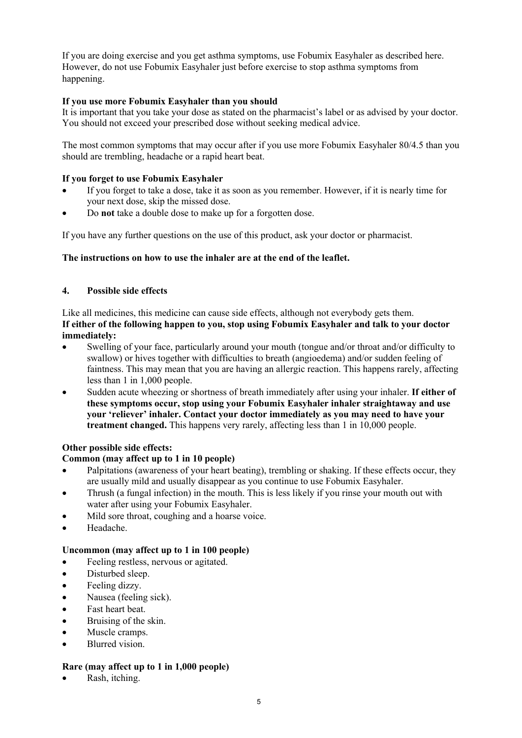If you are doing exercise and you get asthma symptoms, use Fobumix Easyhaler as described here. However, do not use Fobumix Easyhaler just before exercise to stop asthma symptoms from happening.

## **If you use more Fobumix Easyhaler than you should**

It is important that you take your dose as stated on the pharmacist's label or as advised by your doctor. You should not exceed your prescribed dose without seeking medical advice.

The most common symptoms that may occur after if you use more Fobumix Easyhaler 80/4.5 than you should are trembling, headache or a rapid heart beat.

## **If you forget to use Fobumix Easyhaler**

- If you forget to take a dose, take it as soon as you remember. However, if it is nearly time for your next dose, skip the missed dose.
- Do **not** take a double dose to make up for a forgotten dose.

If you have any further questions on the use of this product, ask your doctor or pharmacist.

#### **The instructions on how to use the inhaler are at the end of the leaflet.**

## **4. Possible side effects**

Like all medicines, this medicine can cause side effects, although not everybody gets them. **If either of the following happen to you, stop using Fobumix Easyhaler and talk to your doctor immediately:** 

- Swelling of your face, particularly around your mouth (tongue and/or throat and/or difficulty to swallow) or hives together with difficulties to breath (angioedema) and/or sudden feeling of faintness. This may mean that you are having an allergic reaction. This happens rarely, affecting less than 1 in 1,000 people.
- Sudden acute wheezing or shortness of breath immediately after using your inhaler. **If either of these symptoms occur, stop using your Fobumix Easyhaler inhaler straightaway and use your 'reliever' inhaler. Contact your doctor immediately as you may need to have your treatment changed.** This happens very rarely, affecting less than 1 in 10,000 people.

## **Other possible side effects:**

## **Common (may affect up to 1 in 10 people)**

- Palpitations (awareness of your heart beating), trembling or shaking. If these effects occur, they are usually mild and usually disappear as you continue to use Fobumix Easyhaler.
- Thrush (a fungal infection) in the mouth. This is less likely if you rinse your mouth out with water after using your Fobumix Easyhaler.
- Mild sore throat, coughing and a hoarse voice.
- Headache.

## **Uncommon (may affect up to 1 in 100 people)**

- Feeling restless, nervous or agitated.
- Disturbed sleep.
- Feeling dizzy.
- Nausea (feeling sick).
- Fast heart beat.
- Bruising of the skin.
- Muscle cramps.
- Blurred vision.

#### **Rare (may affect up to 1 in 1,000 people)**

Rash, itching.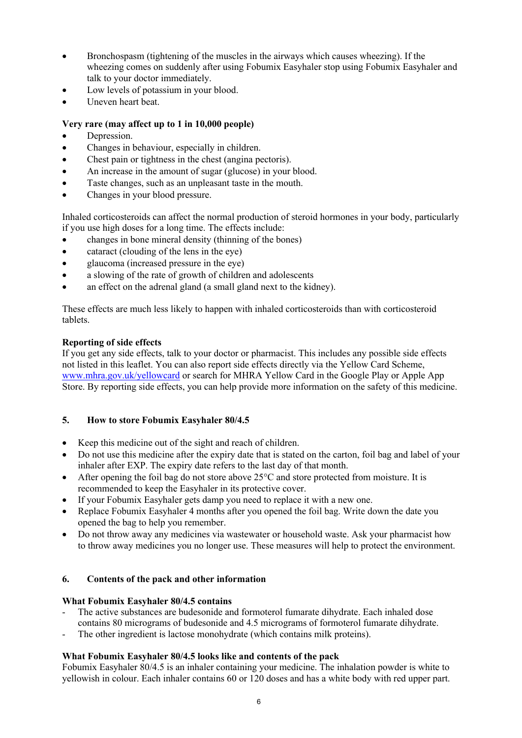- Bronchospasm (tightening of the muscles in the airways which causes wheezing). If the wheezing comes on suddenly after using Fobumix Easyhaler stop using Fobumix Easyhaler and talk to your doctor immediately.
- Low levels of potassium in your blood.
- Uneven heart beat.

## **Very rare (may affect up to 1 in 10,000 people)**

- Depression.
- Changes in behaviour, especially in children.
- Chest pain or tightness in the chest (angina pectoris).
- An increase in the amount of sugar (glucose) in your blood.
- Taste changes, such as an unpleasant taste in the mouth.
- Changes in your blood pressure.

Inhaled corticosteroids can affect the normal production of steroid hormones in your body, particularly if you use high doses for a long time. The effects include:

- changes in bone mineral density (thinning of the bones)
- cataract (clouding of the lens in the eye)
- glaucoma (increased pressure in the eye)
- a slowing of the rate of growth of children and adolescents
- an effect on the adrenal gland (a small gland next to the kidney).

These effects are much less likely to happen with inhaled corticosteroids than with corticosteroid tablets.

#### **Reporting of side effects**

If you get any side effects, talk to your doctor or pharmacist. This includes any possible side effects not listed in this leaflet. You can also report side effects directly via the Yellow Card Scheme, [www.mhra.gov.uk/yellowcard](http://www.mhra.gov.uk/yellowcard) or search for MHRA Yellow Card in the Google Play or Apple App Store. By reporting side effects, you can help provide more information on the safety of this medicine.

## **5. How to store Fobumix Easyhaler 80/4.5**

- Keep this medicine out of the sight and reach of children.
- Do not use this medicine after the expiry date that is stated on the carton, foil bag and label of your inhaler after EXP. The expiry date refers to the last day of that month.
- After opening the foil bag do not store above  $25^{\circ}$ C and store protected from moisture. It is recommended to keep the Easyhaler in its protective cover.
- If your Fobumix Easyhaler gets damp you need to replace it with a new one.
- Replace Fobumix Easyhaler 4 months after you opened the foil bag. Write down the date you opened the bag to help you remember.
- Do not throw away any medicines via wastewater or household waste. Ask your pharmacist how to throw away medicines you no longer use. These measures will help to protect the environment.

## **6. Contents of the pack and other information**

## **What Fobumix Easyhaler 80/4.5 contains**

- The active substances are budesonide and formoterol fumarate dihydrate. Each inhaled dose contains 80 micrograms of budesonide and 4.5 micrograms of formoterol fumarate dihydrate.
- The other ingredient is lactose monohydrate (which contains milk proteins).

## **What Fobumix Easyhaler 80/4.5 looks like and contents of the pack**

Fobumix Easyhaler 80/4.5 is an inhaler containing your medicine. The inhalation powder is white to yellowish in colour. Each inhaler contains 60 or 120 doses and has a white body with red upper part.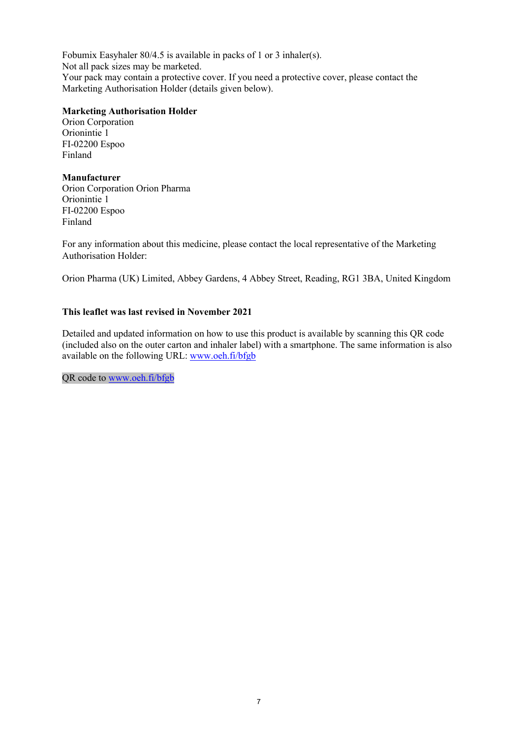Fobumix Easyhaler 80/4.5 is available in packs of 1 or 3 inhaler(s). Not all pack sizes may be marketed. Your pack may contain a protective cover. If you need a protective cover, please contact the Marketing Authorisation Holder (details given below).

#### **Marketing Authorisation Holder**

Orion Corporation Orionintie 1 FI-02200 Espoo Finland

#### **Manufacturer**

Orion Corporation Orion Pharma Orionintie 1 FI-02200 Espoo Finland

For any information about this medicine, please contact the local representative of the Marketing Authorisation Holder:

Orion Pharma (UK) Limited, Abbey Gardens, 4 Abbey Street, Reading, RG1 3BA, United Kingdom

## **This leaflet was last revised in November 2021**

Detailed and updated information on how to use this product is available by scanning this QR code (included also on the outer carton and inhaler label) with a smartphone. The same information is also available on the following URL: [www.oeh.fi/bfgb](http://www.oeh.fi/bfgb)

QR code to [www.oeh.fi/bfgb](http://www.oeh.fi/bfgb)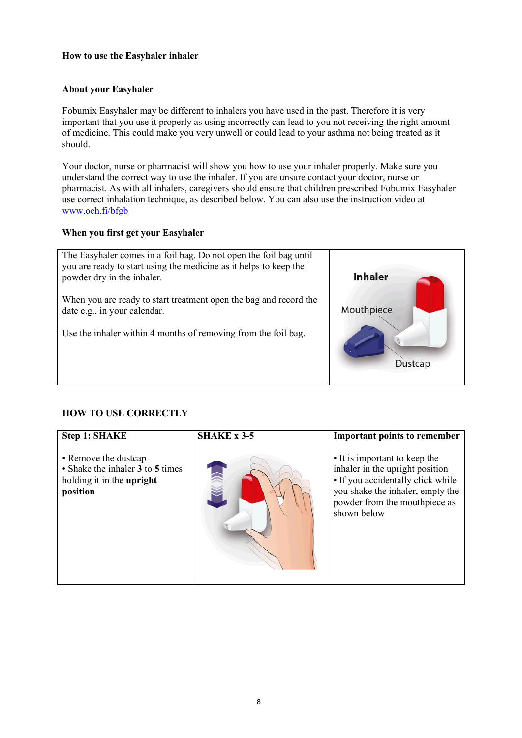## **How to use the Easyhaler inhaler**

#### **About your Easyhaler**

Fobumix Easyhaler may be different to inhalers you have used in the past. Therefore it is very important that you use it properly as using incorrectly can lead to you not receiving the right amount of medicine. This could make you very unwell or could lead to your asthma not being treated as it should.

Your doctor, nurse or pharmacist will show you how to use your inhaler properly. Make sure you understand the correct way to use the inhaler. If you are unsure contact your doctor, nurse or pharmacist. As with all inhalers, caregivers should ensure that children prescribed Fobumix Easyhaler use correct inhalation technique, as described below. You can also use the instruction video at www.oeh.fi/bfgb

#### **When you first get your Easyhaler**



## **HOW TO USE CORRECTLY**

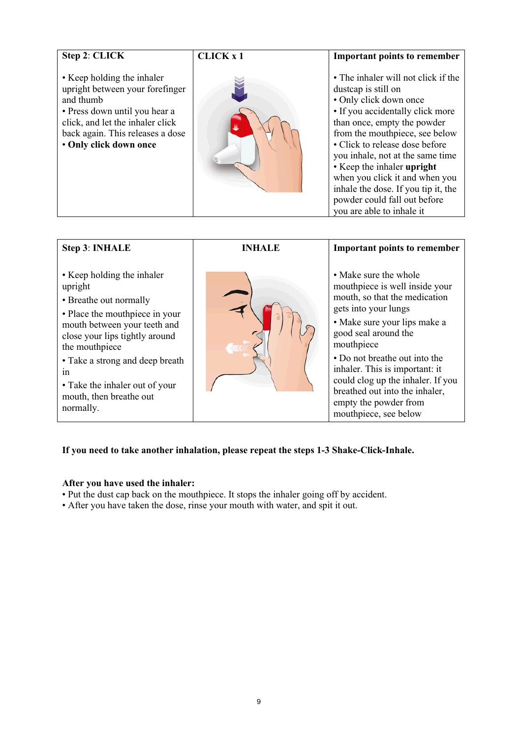| Step 2: CLICK                                                                                                                                                                                                 | <b>CLICK x 1</b> | <b>Important points to remember</b>                                                                                                                                                                                                                                                                                                                                                                                                 |
|---------------------------------------------------------------------------------------------------------------------------------------------------------------------------------------------------------------|------------------|-------------------------------------------------------------------------------------------------------------------------------------------------------------------------------------------------------------------------------------------------------------------------------------------------------------------------------------------------------------------------------------------------------------------------------------|
| • Keep holding the inhaler<br>upright between your forefinger<br>and thumb<br>• Press down until you hear a<br>click, and let the inhaler click<br>back again. This releases a dose<br>• Only click down once |                  | • The inhaler will not click if the<br>dustcap is still on<br>• Only click down once<br>• If you accidentally click more<br>than once, empty the powder<br>from the mouthpiece, see below<br>• Click to release dose before<br>you inhale, not at the same time<br>• Keep the inhaler upright<br>when you click it and when you<br>inhale the dose. If you tip it, the<br>powder could fall out before<br>you are able to inhale it |

| <b>Step 3: INHALE</b>                                                                                                                                                                                                                                                                                    | <b>INHALE</b> | <b>Important points to remember</b>                                                                                                                                                                                                                                                                                                                                                 |
|----------------------------------------------------------------------------------------------------------------------------------------------------------------------------------------------------------------------------------------------------------------------------------------------------------|---------------|-------------------------------------------------------------------------------------------------------------------------------------------------------------------------------------------------------------------------------------------------------------------------------------------------------------------------------------------------------------------------------------|
| • Keep holding the inhaler<br>upright<br>• Breathe out normally<br>• Place the mouthpiece in your<br>mouth between your teeth and<br>close your lips tightly around<br>the mouthpiece<br>• Take a strong and deep breath<br>1n<br>• Take the inhaler out of your<br>mouth, then breathe out<br>normally. |               | • Make sure the whole<br>mouthpiece is well inside your<br>mouth, so that the medication<br>gets into your lungs<br>• Make sure your lips make a<br>good seal around the<br>mouthpiece<br>• Do not breather out into the<br>inhaler. This is important: it<br>could clog up the inhaler. If you<br>breathed out into the inhaler,<br>empty the powder from<br>mouthpiece, see below |

# **If you need to take another inhalation, please repeat the steps 1-3 Shake-Click-Inhale.**

## **After you have used the inhaler:**

- Put the dust cap back on the mouthpiece. It stops the inhaler going off by accident.
- After you have taken the dose, rinse your mouth with water, and spit it out.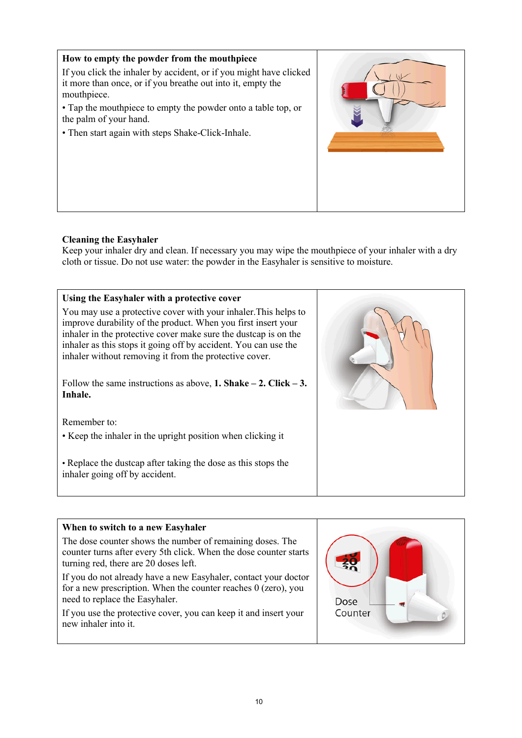

# **Cleaning the Easyhaler**

Keep your inhaler dry and clean. If necessary you may wipe the mouthpiece of your inhaler with a dry cloth or tissue. Do not use water: the powder in the Easyhaler is sensitive to moisture.



# **When to switch to a new Easyhaler**

The dose counter shows the number of remaining doses. The counter turns after every 5th click. When the dose counter starts turning red, there are 20 doses left.

If you do not already have a new Easyhaler, contact your doctor for a new prescription. When the counter reaches 0 (zero), you need to replace the Easyhaler.

If you use the protective cover, you can keep it and insert your new inhaler into it.